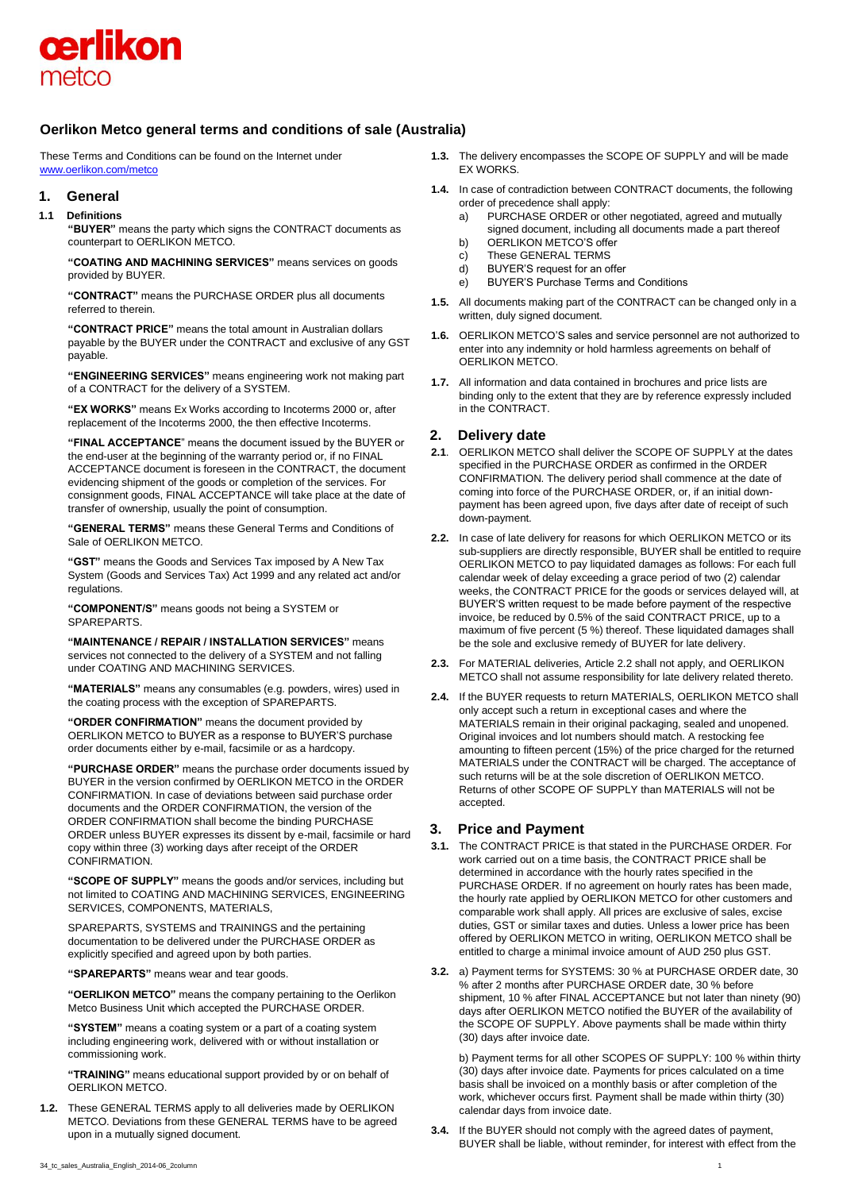

# **Oerlikon Metco general terms and conditions of sale (Australia)**

These Terms and Conditions can be found on the Internet under [www.oerlikon.com/metco](http://www.oerlikon.com/metco)

## **1. General**

# **1.1 Definitions**

**"BUYER"** means the party which signs the CONTRACT documents as counterpart to OERLIKON METCO.

**"COATING AND MACHINING SERVICES"** means services on goods provided by BUYER.

**"CONTRACT"** means the PURCHASE ORDER plus all documents referred to therein.

**"CONTRACT PRICE"** means the total amount in Australian dollars payable by the BUYER under the CONTRACT and exclusive of any GST payable.

**"ENGINEERING SERVICES"** means engineering work not making part of a CONTRACT for the delivery of a SYSTEM.

**"EX WORKS"** means Ex Works according to Incoterms 2000 or, after replacement of the Incoterms 2000, the then effective Incoterms.

**"FINAL ACCEPTANCE**" means the document issued by the BUYER or the end-user at the beginning of the warranty period or, if no FINAL ACCEPTANCE document is foreseen in the CONTRACT, the document evidencing shipment of the goods or completion of the services. For consignment goods, FINAL ACCEPTANCE will take place at the date of transfer of ownership, usually the point of consumption.

**"GENERAL TERMS"** means these General Terms and Conditions of Sale of OERLIKON METCO.

**"GST"** means the Goods and Services Tax imposed by A New Tax System (Goods and Services Tax) Act 1999 and any related act and/or regulations

**"COMPONENT/S"** means goods not being a SYSTEM or SPAREPARTS.

**"MAINTENANCE / REPAIR / INSTALLATION SERVICES"** means services not connected to the delivery of a SYSTEM and not falling under COATING AND MACHINING SERVICES.

**"MATERIALS"** means any consumables (e.g. powders, wires) used in the coating process with the exception of SPAREPARTS.

**"ORDER CONFIRMATION"** means the document provided by OERLIKON METCO to BUYER as a response to BUYER'S purchase order documents either by e-mail, facsimile or as a hardcopy.

**"PURCHASE ORDER"** means the purchase order documents issued by BUYER in the version confirmed by OERLIKON METCO in the ORDER CONFIRMATION. In case of deviations between said purchase order documents and the ORDER CONFIRMATION, the version of the ORDER CONFIRMATION shall become the binding PURCHASE ORDER unless BUYER expresses its dissent by e-mail, facsimile or hard copy within three (3) working days after receipt of the ORDER CONFIRMATION.

**"SCOPE OF SUPPLY"** means the goods and/or services, including but not limited to COATING AND MACHINING SERVICES, ENGINEERING SERVICES, COMPONENTS, MATERIALS,

SPAREPARTS, SYSTEMS and TRAININGS and the pertaining documentation to be delivered under the PURCHASE ORDER as explicitly specified and agreed upon by both parties.

**"SPAREPARTS"** means wear and tear goods.

**"OERLIKON METCO"** means the company pertaining to the Oerlikon Metco Business Unit which accepted the PURCHASE ORDER.

**"SYSTEM"** means a coating system or a part of a coating system including engineering work, delivered with or without installation or commissioning work.

**"TRAINING"** means educational support provided by or on behalf of OERLIKON METCO.

**1.2.** These GENERAL TERMS apply to all deliveries made by OERLIKON METCO. Deviations from these GENERAL TERMS have to be agreed upon in a mutually signed document.

- **1.3.** The delivery encompasses the SCOPE OF SUPPLY and will be made EX WORKS.
- **1.4.** In case of contradiction between CONTRACT documents, the following order of precedence shall apply:
	- a) PURCHASE ORDER or other negotiated, agreed and mutually signed document, including all documents made a part thereof
	- b) OERLIKON METCO'S offer
	- c) These GENERAL TERMS
	- d) BUYER'S request for an offer
	- e) BUYER'S Purchase Terms and Conditions
- **1.5.** All documents making part of the CONTRACT can be changed only in a written, duly signed document.
- **1.6.** OERLIKON METCO'S sales and service personnel are not authorized to enter into any indemnity or hold harmless agreements on behalf of OERLIKON METCO.
- **1.7.** All information and data contained in brochures and price lists are binding only to the extent that they are by reference expressly included in the CONTRACT.

# **2. Delivery date**

- **2.1**. OERLIKON METCO shall deliver the SCOPE OF SUPPLY at the dates specified in the PURCHASE ORDER as confirmed in the ORDER CONFIRMATION. The delivery period shall commence at the date of coming into force of the PURCHASE ORDER, or, if an initial downpayment has been agreed upon, five days after date of receipt of such down-payment.
- **2.2.** In case of late delivery for reasons for which OERLIKON METCO or its sub-suppliers are directly responsible, BUYER shall be entitled to require OERLIKON METCO to pay liquidated damages as follows: For each full calendar week of delay exceeding a grace period of two (2) calendar weeks, the CONTRACT PRICE for the goods or services delayed will, at BUYER'S written request to be made before payment of the respective invoice, be reduced by 0.5% of the said CONTRACT PRICE, up to a maximum of five percent (5 %) thereof. These liquidated damages shall be the sole and exclusive remedy of BUYER for late delivery.
- **2.3.** For MATERIAL deliveries, Article 2.2 shall not apply, and OERLIKON METCO shall not assume responsibility for late delivery related thereto.
- **2.4.** If the BUYER requests to return MATERIALS, OERLIKON METCO shall only accept such a return in exceptional cases and where the MATERIALS remain in their original packaging, sealed and unopened. Original invoices and lot numbers should match. A restocking fee amounting to fifteen percent (15%) of the price charged for the returned MATERIALS under the CONTRACT will be charged. The acceptance of such returns will be at the sole discretion of OERLIKON METCO. Returns of other SCOPE OF SUPPLY than MATERIALS will not be accepted.

# **3. Price and Payment**

- **3.1.** The CONTRACT PRICE is that stated in the PURCHASE ORDER. For work carried out on a time basis, the CONTRACT PRICE shall be determined in accordance with the hourly rates specified in the PURCHASE ORDER. If no agreement on hourly rates has been made, the hourly rate applied by OERLIKON METCO for other customers and comparable work shall apply. All prices are exclusive of sales, excise duties, GST or similar taxes and duties. Unless a lower price has been offered by OERLIKON METCO in writing, OERLIKON METCO shall be entitled to charge a minimal invoice amount of AUD 250 plus GST.
- **3.2.** a) Payment terms for SYSTEMS: 30 % at PURCHASE ORDER date, 30 % after 2 months after PURCHASE ORDER date, 30 % before shipment, 10 % after FINAL ACCEPTANCE but not later than ninety (90) days after OERLIKON METCO notified the BUYER of the availability of the SCOPE OF SUPPLY. Above payments shall be made within thirty (30) days after invoice date.

b) Payment terms for all other SCOPES OF SUPPLY: 100 % within thirty (30) days after invoice date. Payments for prices calculated on a time basis shall be invoiced on a monthly basis or after completion of the work, whichever occurs first. Payment shall be made within thirty (30) calendar days from invoice date.

**3.4.** If the BUYER should not comply with the agreed dates of payment, BUYER shall be liable, without reminder, for interest with effect from the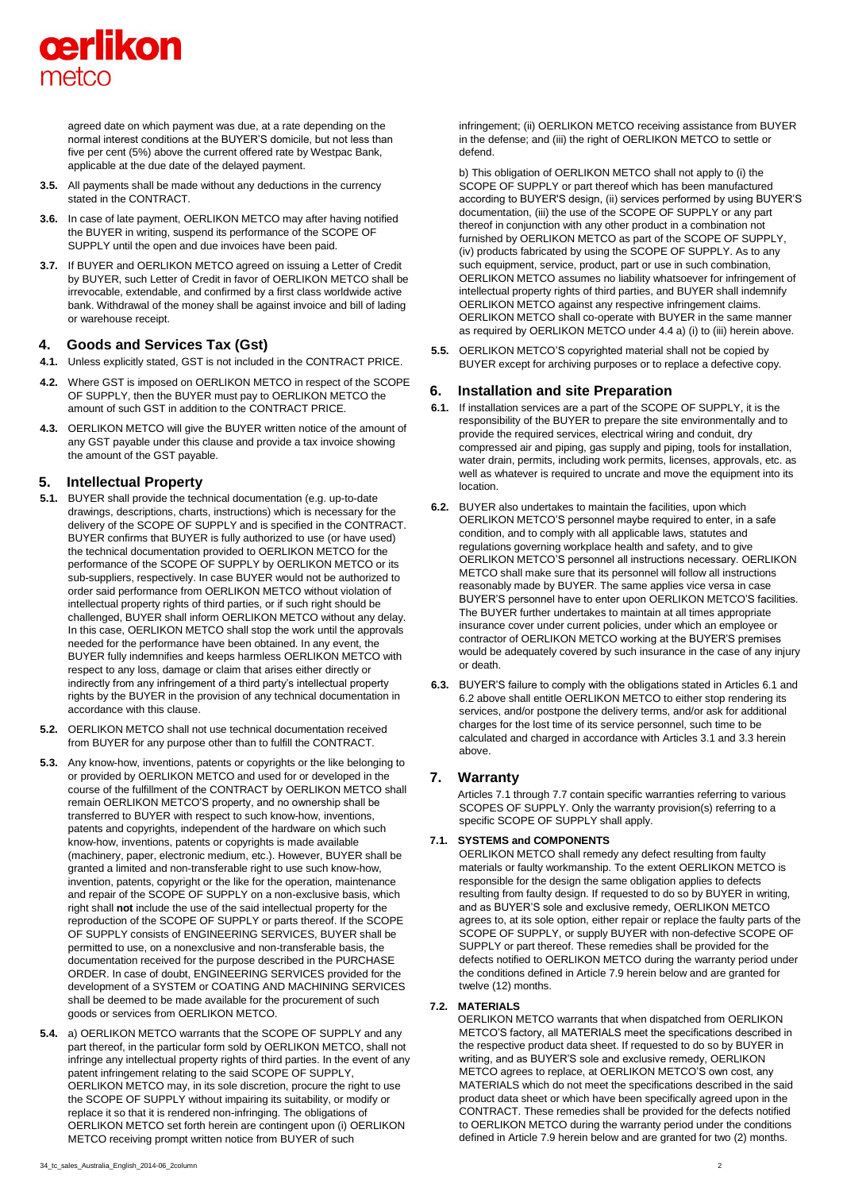

agreed date on which payment was due, at a rate depending on the normal interest conditions at the BUYER'S domicile, but not less than five per cent (5%) above the current offered rate by Westpac Bank, applicable at the due date of the delayed payment.

- **3.5.** All payments shall be made without any deductions in the currency stated in the CONTRACT.
- **3.6.** In case of late payment, OERLIKON METCO may after having notified the BUYER in writing, suspend its performance of the SCOPE OF SUPPLY until the open and due invoices have been paid.
- **3.7.** If BUYER and OERLIKON METCO agreed on issuing a Letter of Credit by BUYER, such Letter of Credit in favor of OERLIKON METCO shall be irrevocable, extendable, and confirmed by a first class worldwide active bank. Withdrawal of the money shall be against invoice and bill of lading or warehouse receipt.

# **4. Goods and Services Tax (Gst)**

- **4.1.** Unless explicitly stated, GST is not included in the CONTRACT PRICE.
- **4.2.** Where GST is imposed on OERLIKON METCO in respect of the SCOPE OF SUPPLY, then the BUYER must pay to OERLIKON METCO the amount of such GST in addition to the CONTRACT PRICE.
- **4.3.** OERLIKON METCO will give the BUYER written notice of the amount of any GST payable under this clause and provide a tax invoice showing the amount of the GST payable.

# **5. Intellectual Property**

- **5.1.** BUYER shall provide the technical documentation (e.g. up-to-date drawings, descriptions, charts, instructions) which is necessary for the delivery of the SCOPE OF SUPPLY and is specified in the CONTRACT. BUYER confirms that BUYER is fully authorized to use (or have used) the technical documentation provided to OERLIKON METCO for the performance of the SCOPE OF SUPPLY by OERLIKON METCO or its sub-suppliers, respectively. In case BUYER would not be authorized to order said performance from OERLIKON METCO without violation of intellectual property rights of third parties, or if such right should be challenged, BUYER shall inform OERLIKON METCO without any delay. In this case, OERLIKON METCO shall stop the work until the approvals needed for the performance have been obtained. In any event, the BUYER fully indemnifies and keeps harmless OERLIKON METCO with respect to any loss, damage or claim that arises either directly or indirectly from any infringement of a third party's intellectual property rights by the BUYER in the provision of any technical documentation in accordance with this clause.
- **5.2.** OERLIKON METCO shall not use technical documentation received from BUYER for any purpose other than to fulfill the CONTRACT.
- **5.3.** Any know-how, inventions, patents or copyrights or the like belonging to or provided by OERLIKON METCO and used for or developed in the course of the fulfillment of the CONTRACT by OERLIKON METCO shall remain OERLIKON METCO'S property, and no ownership shall be transferred to BUYER with respect to such know-how, inventions, patents and copyrights, independent of the hardware on which such know-how, inventions, patents or copyrights is made available (machinery, paper, electronic medium, etc.). However, BUYER shall be granted a limited and non-transferable right to use such know-how, invention, patents, copyright or the like for the operation, maintenance and repair of the SCOPE OF SUPPLY on a non-exclusive basis, which right shall **not** include the use of the said intellectual property for the reproduction of the SCOPE OF SUPPLY or parts thereof. If the SCOPE OF SUPPLY consists of ENGINEERING SERVICES, BUYER shall be permitted to use, on a nonexclusive and non-transferable basis, the documentation received for the purpose described in the PURCHASE ORDER. In case of doubt, ENGINEERING SERVICES provided for the development of a SYSTEM or COATING AND MACHINING SERVICES shall be deemed to be made available for the procurement of such goods or services from OERLIKON METCO.
- **5.4.** a) OERLIKON METCO warrants that the SCOPE OF SUPPLY and any part thereof, in the particular form sold by OERLIKON METCO, shall not infringe any intellectual property rights of third parties. In the event of any patent infringement relating to the said SCOPE OF SUPPLY, OERLIKON METCO may, in its sole discretion, procure the right to use the SCOPE OF SUPPLY without impairing its suitability, or modify or replace it so that it is rendered non-infringing. The obligations of OERLIKON METCO set forth herein are contingent upon (i) OERLIKON METCO receiving prompt written notice from BUYER of such

infringement; (ii) OERLIKON METCO receiving assistance from BUYER in the defense; and (iii) the right of OERLIKON METCO to settle or defend.

b) This obligation of OERLIKON METCO shall not apply to (i) the SCOPE OF SUPPLY or part thereof which has been manufactured according to BUYER'S design, (ii) services performed by using BUYER'S documentation, (iii) the use of the SCOPE OF SUPPLY or any part thereof in conjunction with any other product in a combination not furnished by OERLIKON METCO as part of the SCOPE OF SUPPLY, (iv) products fabricated by using the SCOPE OF SUPPLY. As to any such equipment, service, product, part or use in such combination, OERLIKON METCO assumes no liability whatsoever for infringement of intellectual property rights of third parties, and BUYER shall indemnify OERLIKON METCO against any respective infringement claims. OERLIKON METCO shall co-operate with BUYER in the same manner as required by OERLIKON METCO under 4.4 a) (i) to (iii) herein above.

**5.5.** OERLIKON METCO'S copyrighted material shall not be copied by BUYER except for archiving purposes or to replace a defective copy.

# **6. Installation and site Preparation**

- **6.1.** If installation services are a part of the SCOPE OF SUPPLY, it is the responsibility of the BUYER to prepare the site environmentally and to provide the required services, electrical wiring and conduit, dry compressed air and piping, gas supply and piping, tools for installation, water drain, permits, including work permits, licenses, approvals, etc. as well as whatever is required to uncrate and move the equipment into its location.
- **6.2.** BUYER also undertakes to maintain the facilities, upon which OERLIKON METCO'S personnel maybe required to enter, in a safe condition, and to comply with all applicable laws, statutes and regulations governing workplace health and safety, and to give OERLIKON METCO'S personnel all instructions necessary. OERLIKON METCO shall make sure that its personnel will follow all instructions reasonably made by BUYER. The same applies vice versa in case BUYER'S personnel have to enter upon OERLIKON METCO'S facilities. The BUYER further undertakes to maintain at all times appropriate insurance cover under current policies, under which an employee or contractor of OERLIKON METCO working at the BUYER'S premises would be adequately covered by such insurance in the case of any injury or death.
- **6.3.** BUYER'S failure to comply with the obligations stated in Articles 6.1 and 6.2 above shall entitle OERLIKON METCO to either stop rendering its services, and/or postpone the delivery terms, and/or ask for additional charges for the lost time of its service personnel, such time to be calculated and charged in accordance with Articles 3.1 and 3.3 herein above.

# **7. Warranty**

Articles 7.1 through 7.7 contain specific warranties referring to various SCOPES OF SUPPLY. Only the warranty provision(s) referring to a specific SCOPE OF SUPPLY shall apply.

#### **7.1. SYSTEMS and COMPONENTS**

OERLIKON METCO shall remedy any defect resulting from faulty materials or faulty workmanship. To the extent OERLIKON METCO is responsible for the design the same obligation applies to defects resulting from faulty design. If requested to do so by BUYER in writing, and as BUYER'S sole and exclusive remedy, OERLIKON METCO agrees to, at its sole option, either repair or replace the faulty parts of the SCOPE OF SUPPLY, or supply BUYER with non-defective SCOPE OF SUPPLY or part thereof. These remedies shall be provided for the defects notified to OERLIKON METCO during the warranty period under the conditions defined in Article 7.9 herein below and are granted for twelve (12) months.

#### **7.2. MATERIALS**

OERLIKON METCO warrants that when dispatched from OERLIKON METCO'S factory, all MATERIALS meet the specifications described in the respective product data sheet. If requested to do so by BUYER in writing, and as BUYER'S sole and exclusive remedy, OERLIKON METCO agrees to replace, at OERLIKON METCO'S own cost, any MATERIALS which do not meet the specifications described in the said product data sheet or which have been specifically agreed upon in the CONTRACT. These remedies shall be provided for the defects notified to OERLIKON METCO during the warranty period under the conditions defined in Article 7.9 herein below and are granted for two (2) months.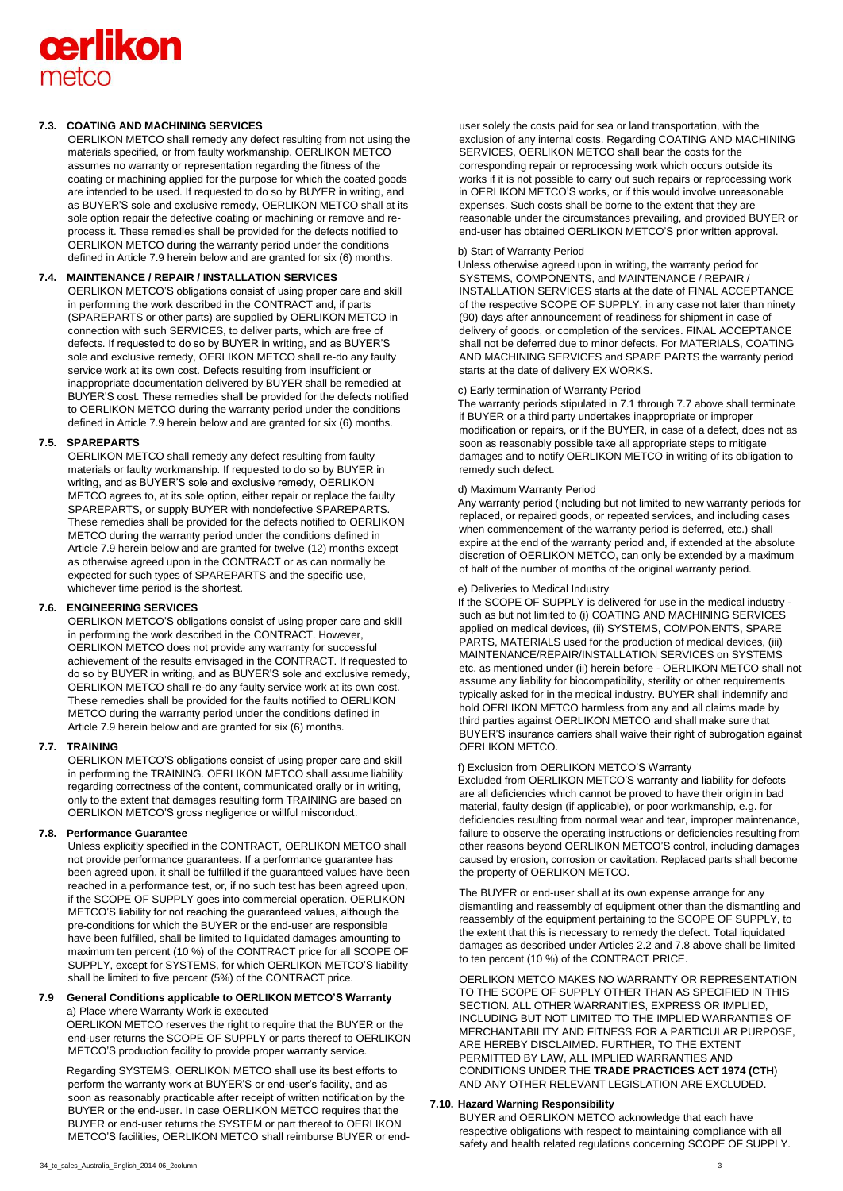# **cerlikon** metco

## **7.3. COATING AND MACHINING SERVICES**

OERLIKON METCO shall remedy any defect resulting from not using the materials specified, or from faulty workmanship. OERLIKON METCO assumes no warranty or representation regarding the fitness of the coating or machining applied for the purpose for which the coated goods are intended to be used. If requested to do so by BUYER in writing, and as BUYER'S sole and exclusive remedy, OERLIKON METCO shall at its sole option repair the defective coating or machining or remove and reprocess it. These remedies shall be provided for the defects notified to OERLIKON METCO during the warranty period under the conditions defined in Article 7.9 herein below and are granted for six (6) months.

## **7.4. MAINTENANCE / REPAIR / INSTALLATION SERVICES**

OERLIKON METCO'S obligations consist of using proper care and skill in performing the work described in the CONTRACT and, if parts (SPAREPARTS or other parts) are supplied by OERLIKON METCO in connection with such SERVICES, to deliver parts, which are free of defects. If requested to do so by BUYER in writing, and as BUYER'S sole and exclusive remedy, OERLIKON METCO shall re-do any faulty service work at its own cost. Defects resulting from insufficient or inappropriate documentation delivered by BUYER shall be remedied at BUYER'S cost. These remedies shall be provided for the defects notified to OERLIKON METCO during the warranty period under the conditions defined in Article 7.9 herein below and are granted for six (6) months.

#### **7.5. SPAREPARTS**

OERLIKON METCO shall remedy any defect resulting from faulty materials or faulty workmanship. If requested to do so by BUYER in writing, and as BUYER'S sole and exclusive remedy, OERLIKON METCO agrees to, at its sole option, either repair or replace the faulty SPAREPARTS, or supply BUYER with nondefective SPAREPARTS. These remedies shall be provided for the defects notified to OERLIKON METCO during the warranty period under the conditions defined in Article 7.9 herein below and are granted for twelve (12) months except as otherwise agreed upon in the CONTRACT or as can normally be expected for such types of SPAREPARTS and the specific use, whichever time period is the shortest.

# **7.6. ENGINEERING SERVICES**

OERLIKON METCO'S obligations consist of using proper care and skill in performing the work described in the CONTRACT. However, OERLIKON METCO does not provide any warranty for successful achievement of the results envisaged in the CONTRACT. If requested to do so by BUYER in writing, and as BUYER'S sole and exclusive remedy, OERLIKON METCO shall re-do any faulty service work at its own cost. These remedies shall be provided for the faults notified to OERLIKON METCO during the warranty period under the conditions defined in Article 7.9 herein below and are granted for six (6) months.

# **7.7. TRAINING**

OERLIKON METCO'S obligations consist of using proper care and skill in performing the TRAINING. OERLIKON METCO shall assume liability regarding correctness of the content, communicated orally or in writing, only to the extent that damages resulting form TRAINING are based on OERLIKON METCO'S gross negligence or willful misconduct.

#### **7.8. Performance Guarantee**

Unless explicitly specified in the CONTRACT, OERLIKON METCO shall not provide performance guarantees. If a performance guarantee has been agreed upon, it shall be fulfilled if the guaranteed values have been reached in a performance test, or, if no such test has been agreed upon, if the SCOPE OF SUPPLY goes into commercial operation. OERLIKON METCO'S liability for not reaching the guaranteed values, although the pre-conditions for which the BUYER or the end-user are responsible have been fulfilled, shall be limited to liquidated damages amounting to maximum ten percent (10 %) of the CONTRACT price for all SCOPE OF SUPPLY, except for SYSTEMS, for which OERLIKON METCO'S liability shall be limited to five percent (5%) of the CONTRACT price.

#### **7.9 General Conditions applicable to OERLIKON METCO'S Warranty**  a) Place where Warranty Work is executed

OERLIKON METCO reserves the right to require that the BUYER or the end-user returns the SCOPE OF SUPPLY or parts thereof to OERLIKON METCO'S production facility to provide proper warranty service.

Regarding SYSTEMS, OERLIKON METCO shall use its best efforts to perform the warranty work at BUYER'S or end-user's facility, and as soon as reasonably practicable after receipt of written notification by the BUYER or the end-user. In case OERLIKON METCO requires that the BUYER or end-user returns the SYSTEM or part thereof to OERLIKON METCO'S facilities, OERLIKON METCO shall reimburse BUYER or end-

user solely the costs paid for sea or land transportation, with the exclusion of any internal costs. Regarding COATING AND MACHINING SERVICES, OERLIKON METCO shall bear the costs for the corresponding repair or reprocessing work which occurs outside its works if it is not possible to carry out such repairs or reprocessing work in OERLIKON METCO'S works, or if this would involve unreasonable expenses. Such costs shall be borne to the extent that they are reasonable under the circumstances prevailing, and provided BUYER or end-user has obtained OERLIKON METCO'S prior written approval.

#### b) Start of Warranty Period

Unless otherwise agreed upon in writing, the warranty period for SYSTEMS, COMPONENTS, and MAINTENANCE / REPAIR / INSTALLATION SERVICES starts at the date of FINAL ACCEPTANCE of the respective SCOPE OF SUPPLY, in any case not later than ninety (90) days after announcement of readiness for shipment in case of delivery of goods, or completion of the services. FINAL ACCEPTANCE shall not be deferred due to minor defects. For MATERIALS, COATING AND MACHINING SERVICES and SPARE PARTS the warranty period starts at the date of delivery EX WORKS.

#### c) Early termination of Warranty Period

The warranty periods stipulated in 7.1 through 7.7 above shall terminate if BUYER or a third party undertakes inappropriate or improper modification or repairs, or if the BUYER, in case of a defect, does not as soon as reasonably possible take all appropriate steps to mitigate damages and to notify OERLIKON METCO in writing of its obligation to remedy such defect.

#### d) Maximum Warranty Period

Any warranty period (including but not limited to new warranty periods for replaced, or repaired goods, or repeated services, and including cases when commencement of the warranty period is deferred, etc.) shall expire at the end of the warranty period and, if extended at the absolute discretion of OERLIKON METCO, can only be extended by a maximum of half of the number of months of the original warranty period.

#### e) Deliveries to Medical Industry

If the SCOPE OF SUPPLY is delivered for use in the medical industry such as but not limited to (i) COATING AND MACHINING SERVICES applied on medical devices, (ii) SYSTEMS, COMPONENTS, SPARE PARTS, MATERIALS used for the production of medical devices, (iii) MAINTENANCE/REPAIR/INSTALLATION SERVICES on SYSTEMS etc. as mentioned under (ii) herein before - OERLIKON METCO shall not assume any liability for biocompatibility, sterility or other requirements typically asked for in the medical industry. BUYER shall indemnify and hold OERLIKON METCO harmless from any and all claims made by third parties against OERLIKON METCO and shall make sure that BUYER'S insurance carriers shall waive their right of subrogation against OERLIKON METCO.

## f) Exclusion from OERLIKON METCO'S Warranty

Excluded from OERLIKON METCO'S warranty and liability for defects are all deficiencies which cannot be proved to have their origin in bad material, faulty design (if applicable), or poor workmanship, e.g. for deficiencies resulting from normal wear and tear, improper maintenance, failure to observe the operating instructions or deficiencies resulting from other reasons beyond OERLIKON METCO'S control, including damages caused by erosion, corrosion or cavitation. Replaced parts shall become the property of OERLIKON METCO.

The BUYER or end-user shall at its own expense arrange for any dismantling and reassembly of equipment other than the dismantling and reassembly of the equipment pertaining to the SCOPE OF SUPPLY, to the extent that this is necessary to remedy the defect. Total liquidated damages as described under Articles 2.2 and 7.8 above shall be limited to ten percent (10 %) of the CONTRACT PRICE.

OERLIKON METCO MAKES NO WARRANTY OR REPRESENTATION TO THE SCOPE OF SUPPLY OTHER THAN AS SPECIFIED IN THIS SECTION. ALL OTHER WARRANTIES, EXPRESS OR IMPLIED, INCLUDING BUT NOT LIMITED TO THE IMPLIED WARRANTIES OF MERCHANTABILITY AND FITNESS FOR A PARTICULAR PURPOSE, ARE HEREBY DISCLAIMED. FURTHER, TO THE EXTENT PERMITTED BY LAW, ALL IMPLIED WARRANTIES AND CONDITIONS UNDER THE **TRADE PRACTICES ACT 1974 (CTH**) AND ANY OTHER RELEVANT LEGISLATION ARE EXCLUDED.

## **7.10. Hazard Warning Responsibility**

BUYER and OERLIKON METCO acknowledge that each have respective obligations with respect to maintaining compliance with all safety and health related regulations concerning SCOPE OF SUPPLY.